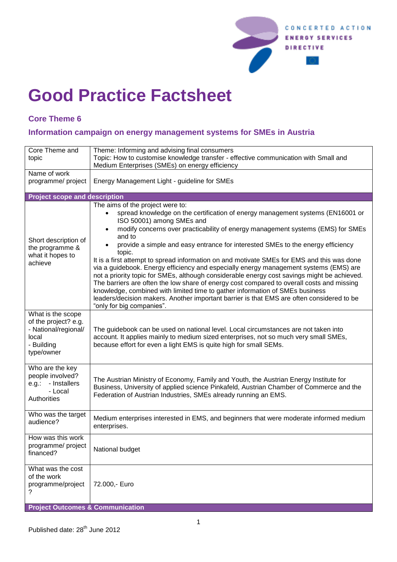

## **Good Practice Factsheet**

## **Core Theme 6**

## **Information campaign on energy management systems for SMEs in Austria**

| Core Theme and<br>topic                                                                                | Theme: Informing and advising final consumers<br>Topic: How to customise knowledge transfer - effective communication with Small and<br>Medium Enterprises (SMEs) on energy efficiency                                                                                                                                                                                                                                                                                                                                                                                                                                                                                                                                                                                                                                                                                                                                                              |
|--------------------------------------------------------------------------------------------------------|-----------------------------------------------------------------------------------------------------------------------------------------------------------------------------------------------------------------------------------------------------------------------------------------------------------------------------------------------------------------------------------------------------------------------------------------------------------------------------------------------------------------------------------------------------------------------------------------------------------------------------------------------------------------------------------------------------------------------------------------------------------------------------------------------------------------------------------------------------------------------------------------------------------------------------------------------------|
| Name of work<br>programme/ project                                                                     | Energy Management Light - guideline for SMEs                                                                                                                                                                                                                                                                                                                                                                                                                                                                                                                                                                                                                                                                                                                                                                                                                                                                                                        |
| <b>Project scope and description</b>                                                                   |                                                                                                                                                                                                                                                                                                                                                                                                                                                                                                                                                                                                                                                                                                                                                                                                                                                                                                                                                     |
| Short description of<br>the programme &<br>what it hopes to<br>achieve                                 | The aims of the project were to:<br>spread knowledge on the certification of energy management systems (EN16001 or<br>ISO 50001) among SMEs and<br>modify concerns over practicability of energy management systems (EMS) for SMEs<br>$\bullet$<br>and to<br>provide a simple and easy entrance for interested SMEs to the energy efficiency<br>topic.<br>It is a first attempt to spread information on and motivate SMEs for EMS and this was done<br>via a guidebook. Energy efficiency and especially energy management systems (EMS) are<br>not a priority topic for SMEs, although considerable energy cost savings might be achieved.<br>The barriers are often the low share of energy cost compared to overall costs and missing<br>knowledge, combined with limited time to gather information of SMEs business<br>leaders/decision makers. Another important barrier is that EMS are often considered to be<br>"only for big companies". |
| What is the scope<br>of the project? e.g.<br>- National/regional/<br>local<br>- Building<br>type/owner | The guidebook can be used on national level. Local circumstances are not taken into<br>account. It applies mainly to medium sized enterprises, not so much very small SMEs,<br>because effort for even a light EMS is quite high for small SEMs.                                                                                                                                                                                                                                                                                                                                                                                                                                                                                                                                                                                                                                                                                                    |
| Who are the key<br>people involved?<br>- Installers<br>e.g.:<br>- Local<br>Authorities                 | The Austrian Ministry of Economy, Family and Youth, the Austrian Energy Institute for<br>Business, University of applied science Pinkafeld, Austrian Chamber of Commerce and the<br>Federation of Austrian Industries, SMEs already running an EMS.                                                                                                                                                                                                                                                                                                                                                                                                                                                                                                                                                                                                                                                                                                 |
| Who was the target<br>audience?                                                                        | Medium enterprises interested in EMS, and beginners that were moderate informed medium<br>enterprises.                                                                                                                                                                                                                                                                                                                                                                                                                                                                                                                                                                                                                                                                                                                                                                                                                                              |
| How was this work<br>programme/ project<br>financed?                                                   | National budget                                                                                                                                                                                                                                                                                                                                                                                                                                                                                                                                                                                                                                                                                                                                                                                                                                                                                                                                     |
| What was the cost<br>of the work<br>programme/project<br>?                                             | 72.000,- Euro                                                                                                                                                                                                                                                                                                                                                                                                                                                                                                                                                                                                                                                                                                                                                                                                                                                                                                                                       |
| <b>Project Outcomes &amp; Communication</b>                                                            |                                                                                                                                                                                                                                                                                                                                                                                                                                                                                                                                                                                                                                                                                                                                                                                                                                                                                                                                                     |